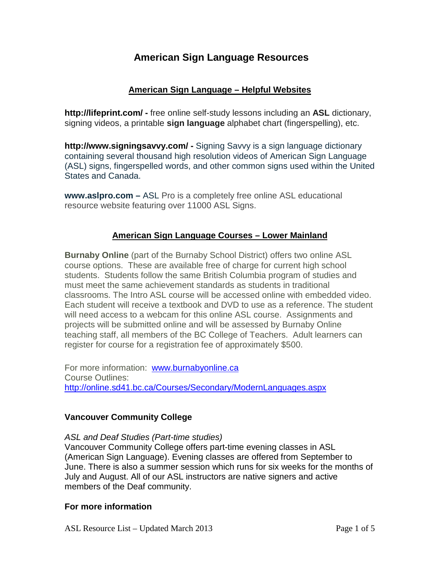# **American Sign Language Resources**

### **American Sign Language – Helpful Websites**

**http://lifeprint.com/ -** free online self-study lessons including an **ASL** dictionary, signing videos, a printable **sign language** alphabet chart (fingerspelling), etc.

**http://www.signingsavvy.com/ -** Signing Savvy is a sign language dictionary containing several thousand high resolution videos of American Sign Language (ASL) signs, fingerspelled words, and other common signs used within the United States and Canada.

**www.aslpro.com –** ASL Pro is a completely free online ASL educational resource website featuring over 11000 ASL Signs.

### **American Sign Language Courses – Lower Mainland**

**Burnaby Online** (part of the Burnaby School District) offers two online ASL course options. These are available free of charge for current high school students. Students follow the same British Columbia program of studies and must meet the same achievement standards as students in traditional classrooms. The Intro ASL course will be accessed online with embedded video. Each student will receive a textbook and DVD to use as a reference. The student will need access to a webcam for this online ASL course. Assignments and projects will be submitted online and will be assessed by Burnaby Online teaching staff, all members of the BC College of Teachers. Adult learners can register for course for a registration fee of approximately \$500.

For more information: [www.burnabyonline.ca](http://www.burnabyonline.ca/) Course Outlines: <http://online.sd41.bc.ca/Courses/Secondary/ModernLanguages.aspx>

### **Vancouver Community College**

*ASL and Deaf Studies (Part-time studies)* Vancouver Community College offers part-time evening classes in ASL (American Sign Language). Evening classes are offered from September to June. There is also a summer session which runs for six weeks for the months of July and August. All of our ASL instructors are native signers and active members of the Deaf community.

#### **For more information**

ASL Resource List – Updated March 2013 Page 1 of 5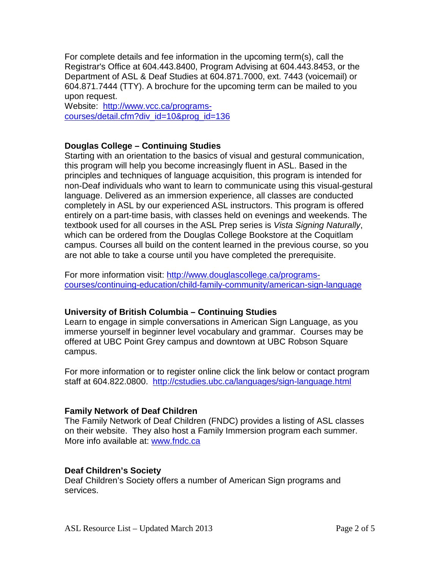For complete details and fee information in the upcoming term(s), call the Registrar's Office at 604.443.8400, Program Advising at 604.443.8453, or the Department of ASL & Deaf Studies at 604.871.7000, ext. 7443 (voicemail) or 604.871.7444 (TTY). A brochure for the upcoming term can be mailed to you upon request.

Website: [http://www.vcc.ca/programs](http://www.vcc.ca/programs-courses/detail.cfm?div_id=10&prog_id=136)[courses/detail.cfm?div\\_id=10&prog\\_id=136](http://www.vcc.ca/programs-courses/detail.cfm?div_id=10&prog_id=136) 

#### **Douglas College – Continuing Studies**

Starting with an orientation to the basics of visual and gestural communication, this program will help you become increasingly fluent in ASL. Based in the principles and techniques of language acquisition, this program is intended for non-Deaf individuals who want to learn to communicate using this visual-gestural language. Delivered as an immersion experience, all classes are conducted completely in ASL by our experienced ASL instructors. This program is offered entirely on a part-time basis, with classes held on evenings and weekends. The textbook used for all courses in the ASL Prep series is *Vista Signing Naturally*, which can be ordered from the Douglas College Bookstore at the Coquitlam campus. Courses all build on the content learned in the previous course, so you are not able to take a course until you have completed the prerequisite.

For more information visit: [http://www.douglascollege.ca/programs](http://www.douglascollege.ca/programs-courses/continuing-education/child-family-community/american-sign-language)[courses/continuing-education/child-family-community/american-sign-language](http://www.douglascollege.ca/programs-courses/continuing-education/child-family-community/american-sign-language)

### **University of British Columbia – Continuing Studies**

Learn to engage in simple conversations in American Sign Language, as you immerse yourself in beginner level vocabulary and grammar. Courses may be offered at UBC Point Grey campus and downtown at UBC Robson Square campus.

For more information or to register online click the link below or contact program staff at 604.822.0800. <http://cstudies.ubc.ca/languages/sign-language.html>

### **Family Network of Deaf Children**

The Family Network of Deaf Children (FNDC) provides a listing of ASL classes on their website. They also host a Family Immersion program each summer. More info available at: [www.fndc.ca](http://www.fndc.ca/) 

#### **Deaf Children's Society**

Deaf Children's Society offers a number of American Sign programs and services.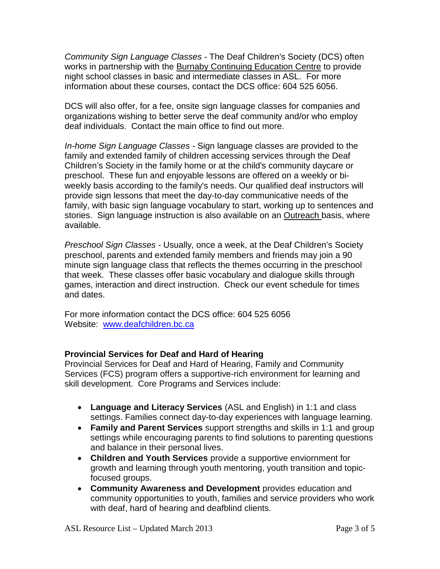*Community Sign Language Classes -* The Deaf Children's Society (DCS) often works in partnership with the [Burnaby Continuing Education Centre](http://www.burnabyce.com/) to provide night school classes in basic and intermediate classes in ASL. For more information about these courses, contact the DCS office: 604 525 6056.

DCS will also offer, for a fee, onsite sign language classes for companies and organizations wishing to better serve the deaf community and/or who employ deaf individuals. Contact the main office to find out more.

*In-home Sign Language Classes -* Sign language classes are provided to the family and extended family of children accessing services through the Deaf Children's Society in the family home or at the child's community daycare or preschool. These fun and enjoyable lessons are offered on a weekly or biweekly basis according to the family's needs. Our qualified deaf instructors will provide sign lessons that meet the day-to-day communicative needs of the family, with basic sign language vocabulary to start, working up to sentences and stories. Sign language instruction is also available on an [Outreach b](http://www.deafchildren.bc.ca/programs/outreach-program)asis, where available.

*Preschool Sign Classes -* Usually, once a week, at the Deaf Children's Society preschool, parents and extended family members and friends may join a 90 minute sign language class that reflects the themes occurring in the preschool that week. These classes offer basic vocabulary and dialogue skills through games, interaction and direct instruction. Check our event schedule for times and dates.

For more information contact the DCS office: 604 525 6056 Website: [www.deafchildren.bc.ca](http://www.deafchildren.bc.ca/) 

### **Provincial Services for Deaf and Hard of Hearing**

Provincial Services for Deaf and Hard of Hearing, Family and Community Services (FCS) program offers a supportive-rich environment for learning and skill development. Core Programs and Services include:

- **Language and Literacy Services** (ASL and English) in 1:1 and class settings. Families connect day-to-day experiences with language learning.
- **Family and Parent Services** support strengths and skills in 1:1 and group settings while encouraging parents to find solutions to parenting questions and balance in their personal lives.
- **Children and Youth Services** provide a supportive enviornment for growth and learning through youth mentoring, youth transition and topicfocused groups.
- **Community Awareness and Development** provides education and community opportunities to youth, families and service providers who work with deaf, hard of hearing and deafblind clients.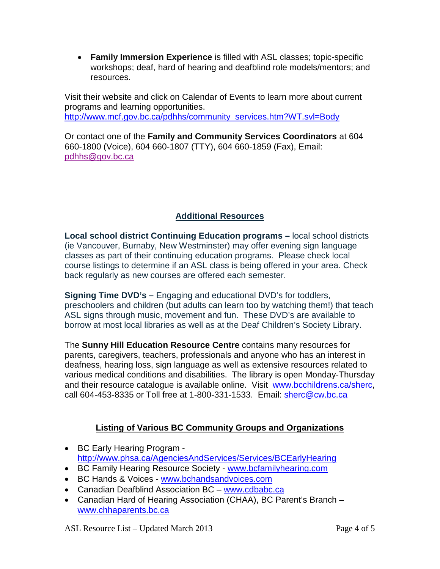• **Family Immersion Experience** is filled with ASL classes; topic-specific workshops; deaf, hard of hearing and deafblind role models/mentors; and resources.

Visit their website and click on Calendar of Events to learn more about current programs and learning opportunities. [http://www.mcf.gov.bc.ca/pdhhs/community\\_services.htm?WT.svl=Body](http://www.mcf.gov.bc.ca/pdhhs/community_services.htm?WT.svl=Body)

Or contact one of the **Family and Community Services Coordinators** at 604 660-1800 (Voice), 604 660-1807 (TTY), 604 660-1859 (Fax), Email: [pdhhs@gov.bc.ca](mailto:PDHHS@gov.bc.ca)

# **Additional Resources**

**Local school district Continuing Education programs –** local school districts (ie Vancouver, Burnaby, New Westminster) may offer evening sign language classes as part of their continuing education programs. Please check local course listings to determine if an ASL class is being offered in your area. Check back regularly as new courses are offered each semester.

**Signing Time DVD's –** Engaging and educational DVD's for toddlers, preschoolers and children (but adults can learn too by watching them!) that teach ASL signs through music, movement and fun. These DVD's are available to borrow at most local libraries as well as at the Deaf Children's Society Library.

The **Sunny Hill Education Resource Centre** contains many resources for parents, caregivers, teachers, professionals and anyone who has an interest in deafness, hearing loss, sign language as well as extensive resources related to various medical conditions and disabilities. The library is open Monday-Thursday and their resource catalogue is available online. Visit [www.bcchildrens.ca/sherc,](http://www.bcchildrens.ca/sherc) call 604-453-8335 or Toll free at 1-800-331-1533. Email: [sherc@cw.bc.ca](mailto:sherc@cw.bc.ca)

## **Listing of Various BC Community Groups and Organizations**

- BC Early Hearing Program <http://www.phsa.ca/AgenciesAndServices/Services/BCEarlyHearing>
- [BC Family Hearing](http://www.google.ca/url?q=http://www.bcfamilyhearing.com/&sa=U&ei=BsRAUdL-B4quqwH574CwCg&ved=0CB0QFjAA&usg=AFQjCNF4J6xPfVoVXrN68mmv64DpkX_bgw) Resource Society [www.bcfamilyhearing.com](http://www.bcfamilyhearing.com/)
- [BC Hands](http://www.google.ca/url?q=http://www.bchandsandvoices.com/&sa=U&ei=dcRAUZyNCMWtqQGrx4CoAg&ved=0CBoQFjAA&usg=AFQjCNG1MDEppPaZBToHDXybJsKtWYamsw) & Voices [www.bchandsandvoices.com](http://www.bchandsandvoices.com/)
- Canadian Deafblind Association BC [www.cdbabc.ca](http://www.cdbabc.ca/)
- Canadian Hard of Hearing Association (CHAA), BC Parent's Branch [www.chhaparents.bc.ca](http://www.chhaparents.bc.ca/)

ASL Resource List – Updated March 2013 Page 4 of 5